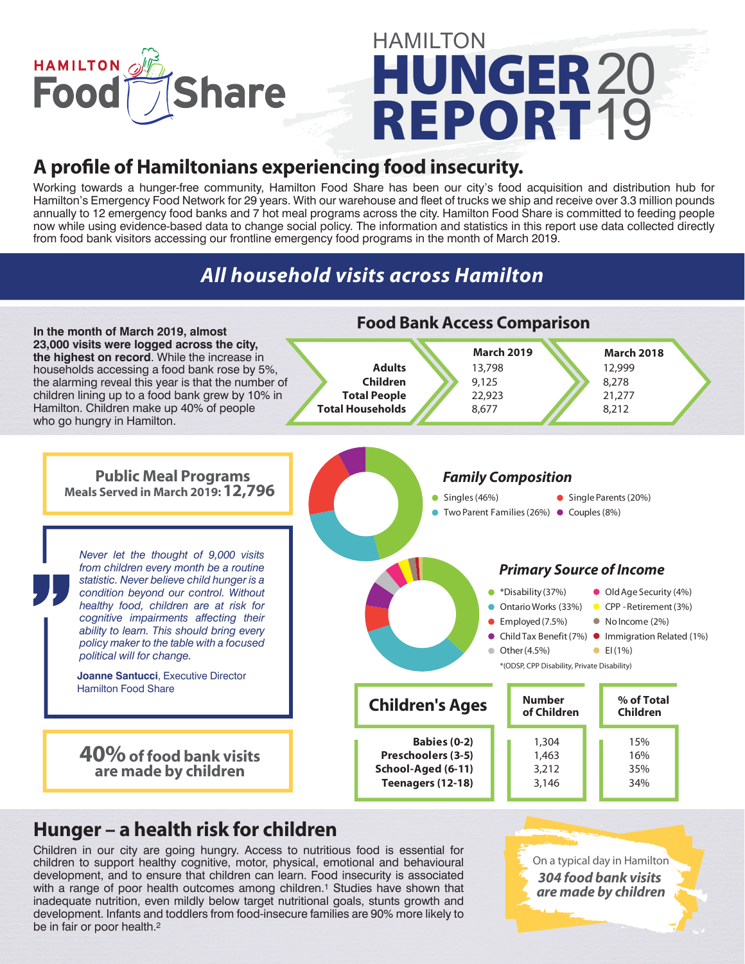

# **HUNGER REPORT HAMILTON** 19 20

# **A profile of Hamiltonians experiencing food insecurity.**

Working towards a hunger-free community, Hamilton Food Share has been our city's food acquisition and distribution hub for Hamilton's Emergency Food Network for 29 years. With our warehouse and fleet of trucks we ship and receive over 3.3 million pounds annually to 12 emergency food banks and 7 hot meal programs across the city. Hamilton Food Share is committed to feeding people now while using evidence-based data to change social policy. The information and statistics in this report use data collected directly from food bank visitors accessing our frontline emergency food programs in the month of March 2019.

# *All household visits across Hamilton*



## **Hunger – a health risk for children**

Children in our city are going hungry. Access to nutritious food is essential for children to support healthy cognitive, motor, physical, emotional and behavioural development, and to ensure that children can learn. Food insecurity is associated with a range of poor health outcomes among children.<sup>1</sup> Studies have shown that inadequate nutrition, even mildly below target nutritional goals, stunts growth and development. Infants and toddlers from food-insecure families are 90% more likely to be in fair or poor health.2

On a typical day in Hamilton On a typical day in Hamilton *304 children line up 304 food bank visits at a food bank are made by children*